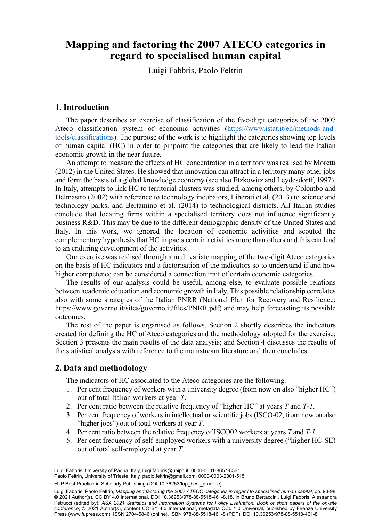# **Mapping and factoring the 2007 ATECO categories Mapping and factoring the 2007 ATECO categories in in regard to specialised human capital regard to specialised human capital**

Luigi Fabbris, Paolo Feltrin**<sup>1</sup>** Luigi Fabbris, Paolo Feltrin

# **1. Introduction**

The paper describes an exercise of classification of the five-digit categories of the 2007 Ateco classification system of economic activities (https://www.istat.it/en/methods-andtools/classifications). The purpose of the work is to highlight the categories showing top levels of human capital (HC) in order to pinpoint the categories that are likely to lead the Italian economic growth in the near future.

An attempt to measure the effects of HC concentration in a territory was realised by Moretti (2012) in the United States. He showed that innovation can attract in a territory many other jobs and form the basis of a global knowledge economy (see also Etzkowitz and Leydesdorff, 1997). In Italy, attempts to link HC to territorial clusters was studied, among others, by Colombo and Delmastro (2002) with reference to technology incubators, Liberati et al. (2013) to science and technology parks, and Bertamino et al. (2014) to technological districts. All Italian studies conclude that locating firms within a specialised territory does not influence significantly business R&D. This may be due to the different demographic density of the United States and Italy. In this work, we ignored the location of economic activities and scouted the complementary hypothesis that HC impacts certain activities more than others and this can lead to an enduring development of the activities.

Our exercise was realised through a multivariate mapping of the two-digit Ateco categories on the basis of HC indicators and a factorisation of the indicators so to understand if and how higher competence can be considered a connection trait of certain economic categories.

The results of our analysis could be useful, among else, to evaluate possible relations between academic education and economic growth in Italy. This possible relationship correlates also with some strategies of the Italian PNRR (National Plan for Recovery and Resilience; https://www.governo.it/sites/governo.it/files/PNRR.pdf) and may help forecasting its possible outcomes.

The rest of the paper is organised as follows. Section 2 shortly describes the indicators created for defining the HC of Ateco categories and the methodology adopted for the exercise; Section 3 presents the main results of the data analysis; and Section 4 discusses the results of the statistical analysis with reference to the mainstream literature and then concludes.

### **2. Data and methodology**

The indicators of HC associated to the Ateco categories are the following.

- 1. Per cent frequency of workers with a university degree (from now on also "higher HC") out of total Italian workers at year *T*.
- 2. Per cent ratio between the relative frequency of "higher HC" at years *T* and *T-1*.
- 3. Per cent frequency of workers in intellectual or scientific jobs (ISCO-02, from now on also "higher jobs") out of total workers at year *T*.
- 4. Per cent ratio between the relative frequency of ISCO02 workers at years *T* and *T-1*.
- 5. Per cent frequency of self-employed workers with a university degree ("higher HC-SE) out of total self-employed at year *T*.

Luigi Fabbris, University of Padua, Italy, [luigi.fabbris@unipd.it](mailto:luigi.fabbris@unipd.it), [0000-0001-8657-8361](https://orcid.org/0000-0001-8657-8361) Paolo Feltrin, University of Trieste, Italy, [paolo.feltrin@gmail.com](mailto:paolo.feltrin@gmail.com), [0000-0003-2801-5151](https://orcid.org/0000-0003-2801-5151)

FUP Best Practice in Scholarly Publishing (DOI [10.36253/fup\\_best\\_practice](https://doi.org/10.36253/fup_best_practice))

81 © 2021 Author(s), [CC BY 4.0 International](http://creativecommons.org/licenses/by/4.0/legalcode), DOI [10.36253/978-88-5518-461-8.18,](https://doi.org/10.36253/978-88-5518-461-8.18) in Bruno Bertaccini, Luigi Fabbris, Alessandra Luigi Fabbris, Paolo Feltrin, *Mapping and factoring the 2007 ATECO categories in regard to specialised human capital*, pp. 93-98, Petrucci (edited by), *ASA 2021 Statistics and Information Systems for Policy Evaluation. Book of short papers of the on-site conference*, © 2021 Author(s), content [CC BY 4.0 International,](http://creativecommons.org/licenses/by/4.0/legalcode) metadata [CC0 1.0 Universal,](https://creativecommons.org/publicdomain/zero/1.0/legalcode) published by Firenze University Press ([www.fupress.com\)](http://www.fupress.com), ISSN 2704-5846 (online), ISBN 978-88-5518-461-8 (PDF), DOI [10.36253/978-88-5518-461-8](https://doi.org/10.36253/978-88-5518-461-8)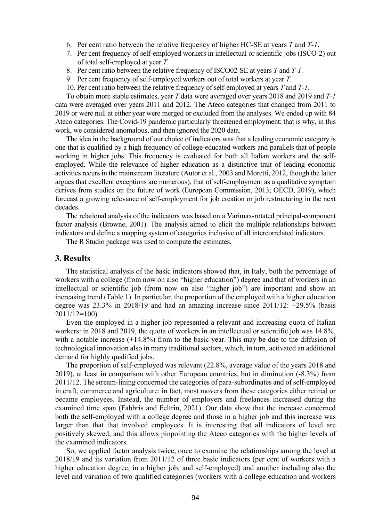- 6. Per cent ratio between the relative frequency of higher HC-SE at years *T* and *T-1*.
- 7. Per cent frequency of self-employed workers in intellectual or scientific jobs (ISCO-2) out of total self-employed at year *T*.
- 8. Per cent ratio between the relative frequency of ISCO02-SE at years *T* and *T-1*.
- 9. Per cent frequency of self-employed workers out of total workers at year *T*.
- 10. Per cent ratio between the relative frequency of self-employed at years *T* and *T-1*.

To obtain more stable estimates, year *T* data were averaged over years 2018 and 2019 and *T-1* data were averaged over years 2011 and 2012. The Ateco categories that changed from 2011 to 2019 or were null at either year were merged or excluded from the analyses. We ended up with 84 Ateco categories. The Covid-19 pandemic particularly threatened employment; that is why, in this work, we considered anomalous, and then ignored the 2020 data.

The idea in the background of our choice of indicators was that a leading economic category is one that is qualified by a high frequency of college-educated workers and parallels that of people working in higher jobs. This frequency is evaluated for both all Italian workers and the selfemployed. While the relevance of higher education as a distinctive trait of leading economic activities recurs in the mainstream literature (Autor et al., 2003 and Moretti, 2012, though the latter argues that excellent exceptions are numerous), that of self-employment as a qualitative symptom derives from studies on the future of work (European Commission, 2013; OECD, 2019), which forecast a growing relevance of self-employment for job creation or job restructuring in the next decades.

The relational analysis of the indicators was based on a Varimax-rotated principal-component factor analysis (Browne, 2001). The analysis aimed to elicit the multiple relationships between indicators and define a mapping system of categories inclusive of all intercorrelated indicators.

The R Studio package was used to compute the estimates.

#### **3. Results**

The statistical analysis of the basic indicators showed that, in Italy, both the percentage of workers with a college (from now on also "higher education") degree and that of workers in an intellectual or scientific job (from now on also "higher job") are important and show an increasing trend (Table 1). In particular, the proportion of the employed with a higher education degree was 23.3% in 2018/19 and had an amazing increase since 2011/12: +29.5% (basis 2011/12=100).

Even the employed in a higher job represented a relevant and increasing quota of Italian workers: in 2018 and 2019, the quota of workers in an intellectual or scientific job was 14.8%, with a notable increase (+14.8%) from to the basic year. This may be due to the diffusion of technological innovation also in many traditional sectors, which, in turn, activated an additional demand for highly qualified jobs.

The proportion of self-employed was relevant (22.8%, average value of the years 2018 and 2019), at least in comparison with other European countries, but in diminution (-8.3%) from 2011/12. The stream-lining concerned the categories of para-subordinates and of self-employed in craft, commerce and agriculture: in fact, most movers from these categories either retired or became employees. Instead, the number of employers and freelances increased during the examined time span (Fabbris and Feltrin, 2021). Our data show that the increase concerned both the self-employed with a college degree and those in a higher job and this increase was larger than that that involved employees. It is interesting that all indicators of level are positively skewed, and this allows pinpointing the Ateco categories with the higher levels of the examined indicators.

So, we applied factor analysis twice, once to examine the relationships among the level at 2018/19 and its variation from 2011/12 of three basic indicators (per cent of workers with a higher education degree, in a higher job, and self-employed) and another including also the level and variation of two qualified categories (workers with a college education and workers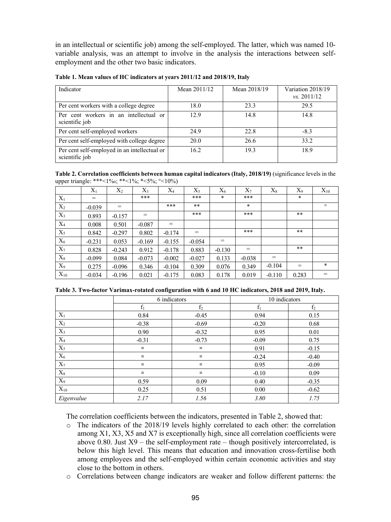in an intellectual or scientific job) among the self-employed. The latter, which was named 10 variable analysis, was an attempt to involve in the analysis the interactions between selfemployment and the other two basic indicators.

| Indicator                                                      | Mean 2011/12 | Mean 2018/19 | Variation 2018/19<br>$\frac{vs. 2011}{12}$ |
|----------------------------------------------------------------|--------------|--------------|--------------------------------------------|
| Per cent workers with a college degree                         | 18.0         | 23.3         | 29.5                                       |
| Per cent workers in an intellectual or<br>scientific job       | 12.9         | 14.8         | 14.8                                       |
| Per cent self-employed workers                                 | 24.9         | 22.8         | $-8.3$                                     |
| Per cent self-employed with college degree                     | 20.0         | 26.6         | 33.2                                       |
| Per cent self-employed in an intellectual or<br>scientific job | 16.2         | 19.3         | 18.9                                       |

**Table 1. Mean values of HC indicators at years 2011/12 and 2018/19, Italy** 

**Table 2. Correlation coefficients between human capital indicators (Italy, 2018/19)** (significance levels in the upper triangle: \*\*\*<1%0; \*\*<1%; \*<5%; °<10%)

|          | $X_1$    | $X_2$    | $X_3$    | $X_4$    | $X_5$    | $X_6$    | $X_7$    | $X_8$    | $X_9$ | $X_{10}$ |
|----------|----------|----------|----------|----------|----------|----------|----------|----------|-------|----------|
| $X_1$    | $=$      |          | ***      |          | ***      | *        | ***      |          | *     |          |
| $X_2$    | $-0.039$ | $=$      |          | ***      | $***$    |          | $\ast$   |          |       | $\circ$  |
| $X_3$    | 0.893    | $-0.157$ | $=$      |          | ***      |          | ***      |          | $***$ |          |
| $X_4$    | 0.008    | 0.501    | $-0.087$ | $=$      |          |          |          |          |       |          |
| $X_5$    | 0.842    | $-0.297$ | 0.802    | $-0.174$ | $=$      |          | ***      |          | $***$ |          |
| $X_6$    | $-0.231$ | 0.053    | $-0.169$ | $-0.155$ | $-0.054$ | $=$      |          |          |       |          |
| $X_7$    | 0.828    | $-0.243$ | 0.912    | $-0.178$ | 0.883    | $-0.130$ | $=$      |          | $***$ |          |
| $X_8$    | $-0.099$ | 0.084    | $-0.073$ | $-0.002$ | $-0.027$ | 0.133    | $-0.038$ | $=$      |       |          |
| $X_9$    | 0.275    | $-0.096$ | 0.346    | $-0.104$ | 0.309    | 0.076    | 0.349    | $-0.104$ | $=$   | $\ast$   |
| $X_{10}$ | $-0.034$ | $-0.196$ | 0.021    | $-0.175$ | 0.083    | 0.178    | 0.019    | $-0.110$ | 0.283 | $=$      |

|                | 6 indicators |                | 10 indicators |                |  |
|----------------|--------------|----------------|---------------|----------------|--|
|                |              | f <sub>2</sub> | f,            | f <sub>2</sub> |  |
| $\mathbf{X}_1$ | 0.84         | $-0.45$        | 0.94          | 0.15           |  |
| $\mathbf{X}_2$ | $-0.38$      | $-0.69$        | $-0.20$       | 0.68           |  |
| $X_3$          | 0.90         | $-0.32$        | 0.95          | 0.01           |  |
| $X_4$          | $-0.31$      | $-0.73$        | $-0.09$       | 0.75           |  |
| $X_5$          | $=$          | Ξ              | 0.91          | $-0.15$        |  |
| $X_6$          | $=$          | Ξ              | $-0.24$       | $-0.40$        |  |
| $X_7$          | $=$          | $=$            | 0.95          | $-0.09$        |  |
| $\mathbf{X}_8$ | $=$          | Ξ              | $-0.10$       | 0.09           |  |
| $X_9$          | 0.59         | 0.09           | 0.40          | $-0.35$        |  |
| $X_{10}$       | 0.25         | 0.51           | 0.00          | $-0.62$        |  |
| Eigenvalue     | 2.17         | 1.56           | 3.80          | 1.75           |  |

The correlation coefficients between the indicators, presented in Table 2, showed that:

- o The indicators of the 2018/19 levels highly correlated to each other: the correlation among X1, X3, X5 and X7 is exceptionally high, since all correlation coefficients were above 0.80. Just  $X9$  – the self-employment rate – though positively intercorrelated, is below this high level. This means that education and innovation cross-fertilise both among employees and the self-employed within certain economic activities and stay close to the bottom in others.
- o Correlations between change indicators are weaker and follow different patterns: the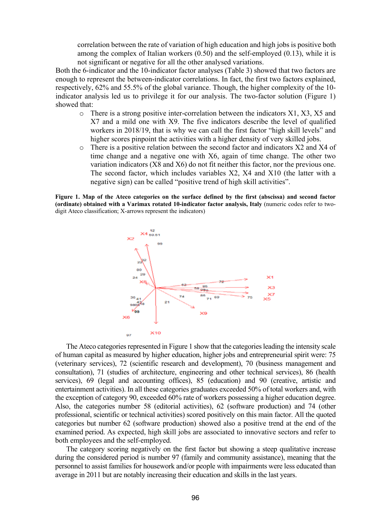correlation between the rate of variation of high education and high jobs is positive both among the complex of Italian workers (0.50) and the self-employed (0.13), while it is not significant or negative for all the other analysed variations.

 Both the 6-indicator and the 10-indicator factor analyses (Table 3) showed that two factors are enough to represent the between-indicator correlations. In fact, the first two factors explained, respectively, 62% and 55.5% of the global variance. Though, the higher complexity of the 10 indicator analysis led us to privilege it for our analysis. The two-factor solution (Figure 1) showed that:

- o There is a strong positive inter-correlation between the indicators X1, X3, X5 and X7 and a mild one with X9. The five indicators describe the level of qualified workers in 2018/19, that is why we can call the first factor "high skill levels" and higher scores pinpoint the activities with a higher density of very skilled jobs.
- $\circ$  There is a positive relation between the second factor and indicators X2 and X4 of time change and a negative one with X6, again of time change. The other two variation indicators (X8 and X6) do not fit neither this factor, nor the previous one. The second factor, which includes variables X2, X4 and X10 (the latter with a negative sign) can be called "positive trend of high skill activities".

**Figure 1. Map of the Ateco categories on the surface defined by the first (abscissa) and second factor (ordinate) obtained with a Varimax rotated 10-indicator factor analysis, Italy** (numeric codes refer to twodigit Ateco classification; X-arrows represent the indicators)



The Ateco categories represented in Figure 1 show that the categories leading the intensity scale of human capital as measured by higher education, higher jobs and entrepreneurial spirit were: 75 (veterinary services), 72 (scientific research and development), 70 (business management and consultation), 71 (studies of architecture, engineering and other technical services), 86 (health services), 69 (legal and accounting offices), 85 (education) and 90 (creative, artistic and entertainment activities). In all these categories graduates exceeded 50% of total workers and, with the exception of category 90, exceeded 60% rate of workers possessing a higher education degree. Also, the categories number 58 (editorial activities), 62 (software production) and 74 (other professional, scientific or technical activities) scored positively on this main factor. All the quoted categories but number 62 (software production) showed also a positive trend at the end of the examined period. As expected, high skill jobs are associated to innovative sectors and refer to both employees and the self-employed.

The category scoring negatively on the first factor but showing a steep qualitative increase during the considered period is number 97 (family and community assistance), meaning that the personnel to assist families for housework and/or people with impairments were less educated than average in 2011 but are notably increasing their education and skills in the last years.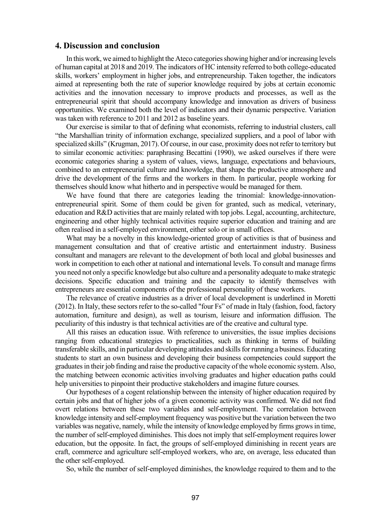#### **4. Discussion and conclusion**

In this work, we aimed to highlight the Ateco categories showing higher and/or increasing levels of human capital at 2018 and 2019. The indicators of HC intensity referred to both college-educated skills, workers' employment in higher jobs, and entrepreneurship. Taken together, the indicators aimed at representing both the rate of superior knowledge required by jobs at certain economic activities and the innovation necessary to improve products and processes, as well as the entrepreneurial spirit that should accompany knowledge and innovation as drivers of business opportunities. We examined both the level of indicators and their dynamic perspective. Variation was taken with reference to 2011 and 2012 as baseline years.

Our exercise is similar to that of defining what economists, referring to industrial clusters, call "the Marshallian trinity of information exchange, specialized suppliers, and a pool of labor with specialized skills" (Krugman, 2017). Of course, in our case, proximity does not refer to territory but to similar economic activities: paraphrasing Becattini (1990), we asked ourselves if there were economic categories sharing a system of values, views, language, expectations and behaviours, combined to an entrepreneurial culture and knowledge, that shape the productive atmosphere and drive the development of the firms and the workers in them. In particular, people working for themselves should know what hitherto and in perspective would be managed for them.

We have found that there are categories leading the trinomial: knowledge-innovationentrepreneurial spirit. Some of them could be given for granted, such as medical, veterinary, education and R&D activities that are mainly related with top jobs. Legal, accounting, architecture, engineering and other highly technical activities require superior education and training and are often realised in a self-employed environment, either solo or in small offices.

What may be a novelty in this knowledge-oriented group of activities is that of business and management consultation and that of creative artistic and entertainment industry. Business consultant and managers are relevant to the development of both local and global businesses and work in competition to each other at national and international levels. To consult and manage firms you need not only a specific knowledge but also culture and a personality adequate to make strategic decisions. Specific education and training and the capacity to identify themselves with entrepreneurs are essential components of the professional personality of these workers.

The relevance of creative industries as a driver of local development is underlined in Moretti (2012). In Italy, these sectors refer to the so-called "four Fs" of made in Italy (fashion, food, factory automation, furniture and design), as well as tourism, leisure and information diffusion. The peculiarity of this industry is that technical activities are of the creative and cultural type.

All this raises an education issue. With reference to universities, the issue implies decisions ranging from educational strategies to practicalities, such as thinking in terms of building transferable skills, and in particular developing attitudes and skills for running a business. Educating students to start an own business and developing their business competencies could support the graduates in their job finding and raise the productive capacity of the whole economic system. Also, the matching between economic activities involving graduates and higher education paths could help universities to pinpoint their productive stakeholders and imagine future courses.

Our hypotheses of a cogent relationship between the intensity of higher education required by certain jobs and that of higher jobs of a given economic activity was confirmed. We did not find overt relations between these two variables and self-employment. The correlation between knowledge intensity and self-employment frequency was positive but the variation between the two variables was negative, namely, while the intensity of knowledge employed by firms grows in time, the number of self-employed diminishes. This does not imply that self-employment requires lower education, but the opposite. In fact, the groups of self-employed diminishing in recent years are craft, commerce and agriculture self-employed workers, who are, on average, less educated than the other self-employed.

So, while the number of self-employed diminishes, the knowledge required to them and to the